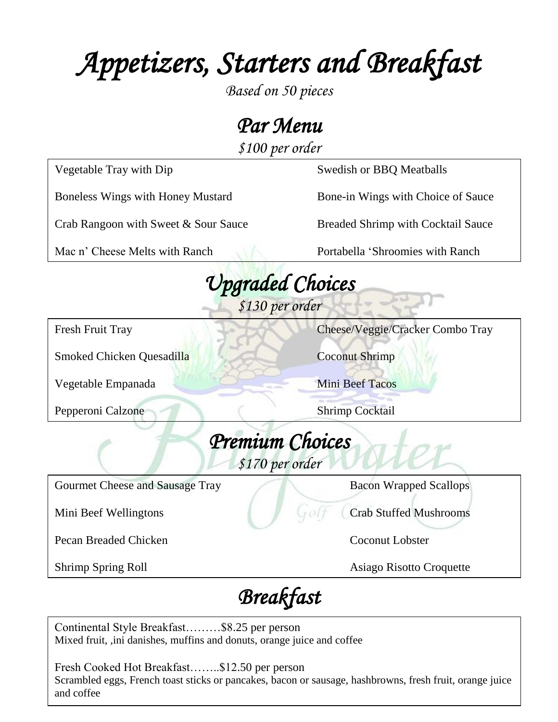*Appetizers, Starters and Breakfast* 

*Based on 50 pieces*

*Par Menu* 

*\$100 per order*

 *Upgraded Choices \$130 per order Premium Choices \$170 per order Breakfast*  Gourmet Cheese and Sausage Tray Bacon Wrapped Scallops Mini Beef Wellingtons Crab Stuffed Mushrooms Pecan Breaded Chicken **Coconut Lobster** Coconut Lobster Shrimp Spring Roll Asiago Risotto Croquette Fresh Fruit Tray Cheese/Veggie/Cracker Combo Tray Smoked Chicken Quesadilla Coconut Shrimp Vegetable Empanada Mini Beef Tacos Pepperoni Calzone Shrimp Cocktail Vegetable Tray with Dip Swedish or BBQ Meatballs Boneless Wings with Honey Mustard Bone-in Wings with Choice of Sauce Crab Rangoon with Sweet & Sour Sauce Breaded Shrimp with Cocktail Sauce Mac n' Cheese Melts with Ranch Portabella 'Shroomies with Ranch

Continental Style Breakfast………\$8.25 per person Mixed fruit, ,ini danishes, muffins and donuts, orange juice and coffee

Fresh Cooked Hot Breakfast……..\$12.50 per person Scrambled eggs, French toast sticks or pancakes, bacon or sausage, hashbrowns, fresh fruit, orange juice and coffee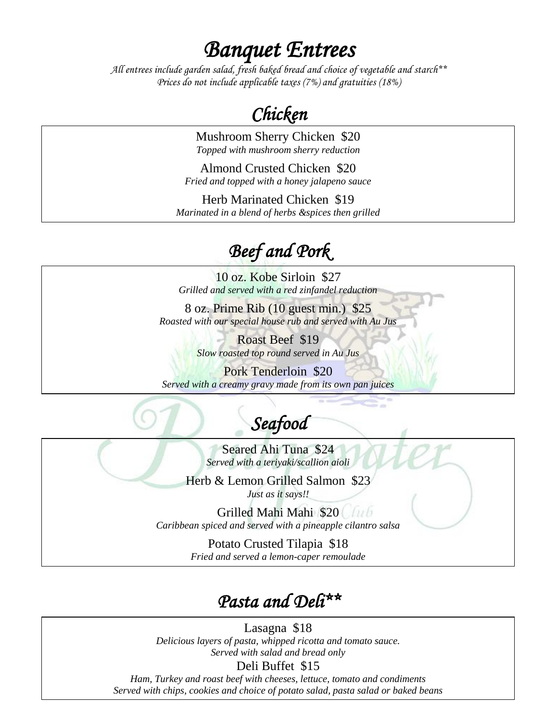*Banquet Entrees* 

*All entrees include garden salad, fresh baked bread and choice of vegetable and starch\*\* Prices do not include applicable taxes (7%) and gratuities (18%)*

## *Chicken*

Mushroom Sherry Chicken \$20 *Topped with mushroom sherry reduction*

Almond Crusted Chicken \$20 *Fried and topped with a honey jalapeno sauce*

Herb Marinated Chicken \$19 *Marinated in a blend of herbs &spices then grilled*

## *Beef and Pork*

10 oz. Kobe Sirloin \$27 *Grilled and served with a red zinfandel reduction*

8 oz. Prime Rib (10 guest min.) \$25 *Roasted with our special house rub and served with Au Jus*

> Roast Beef \$19 *Slow roasted top round served in Au Jus*

Pork Tenderloin \$20 *Served with a creamy gravy made from its own pan juices*

## *Seafood*

Seared Ahi Tuna \$24 *Served with a teriyaki/scallion aioli*

Herb & Lemon Grilled Salmon \$23 *Just as it says!!*

Grilled Mahi Mahi \$20 *Caribbean spiced and served with a pineapple cilantro salsa*

> Potato Crusted Tilapia \$18 *Fried and served a lemon-caper remoulade*

### *Pasta and Deli\*\**

Lasagna \$18 *Delicious layers of pasta, whipped ricotta and tomato sauce. Served with salad and bread only*

Deli Buffet \$15

*Ham, Turkey and roast beef with cheeses, lettuce, tomato and condiments Served with chips, cookies and choice of potato salad, pasta salad or baked beans*